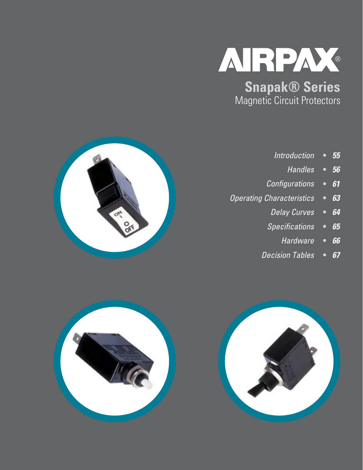

**Snapak® Series** Magnetic Circuit Protectors

- **•** *55 Introduction*
	- **•** *56 Handles*
- **•** *61 Configurations*
- **•** *63 Operating Characteristics*
	- **•** *64 Delay Curves*
	- **•** *65 Specifications*
		- **•** *66 Hardware*
	- **•** *67 Decision Tables*



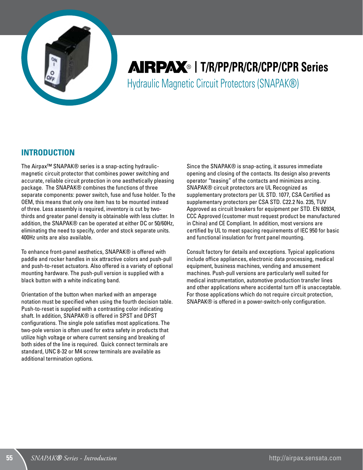

# **AIRPAX**® | T/R/PP/PR/CR/CPP/CPR Series Hydraulic Magnetic Circuit Protectors (SNAPAK®)

## **INTRODUCTION**

The Airpax™ SNAPAK® series is a snap-acting hydraulicmagnetic circuit protector that combines power switching and accurate, reliable circuit protection in one aesthetically pleasing package. The SNAPAK® combines the functions of three separate components: power switch, fuse and fuse holder. To the OEM, this means that only one item has to be mounted instead of three. Less assembly is required, inventory is cut by twothirds and greater panel density is obtainable with less clutter. In addition, the SNAPAK® can be operated at either DC or 50/60Hz, eliminating the need to specify, order and stock separate units. 400Hz units are also available.

To enhance front-panel aesthetics, SNAPAK® is offered with paddle and rocker handles in six attractive colors and push-pull and push-to-reset actuators. Also offered is a variety of optional mounting hardware. The push-pull version is supplied with a black button with a white indicating band.

Orientation of the button when marked with an amperage notation must be specified when using the fourth decision table. Push-to-reset is supplied with a contrasting color indicating shaft. In addition, SNAPAK® is offered in SPST and DPST configurations. The single pole satisfies most applications. The two-pole version is often used for extra safety in products that utilize high voltage or where current sensing and breaking of both sides of the line is required. Quick connect terminals are standard, UNC 8-32 or M4 screw terminals are available as additional termination options.

Since the SNAPAK® is snap-acting, it assures immediate opening and closing of the contacts. Its design also prevents operator "teasing" of the contacts and minimizes arcing. SNAPAK® circuit protectors are UL Recognized as supplementary protectors per UL STD. 1077, CSA Certified as supplementary protectors per CSA STD. C22.2 No. 235, TUV Approved as circuit breakers for equipment per STD. EN 60934, CCC Approved (customer must request product be manufactured in China) and CE Compliant. In addition, most versions are certified by UL to meet spacing requirements of IEC 950 for basic and functional insulation for front panel mounting.

Consult factory for details and exceptions. Typical applications include office appliances, electronic data processing, medical equipment, business machines, vending and amusement machines. Push-pull versions are particularly well suited for medical instrumentation, automotive production transfer lines and other applications where accidental turn off is unacceptable. For those applications which do not require circuit protection, SNAPAK® is offered in a power-switch-only configuration.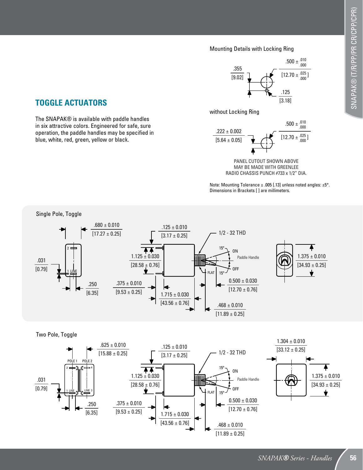#### Mounting Details with Locking Ring



## **TOGGLE ACTUATORS**

The SNAPAK® is available with paddle handles in six attractive colors. Engineered for safe, sure operation, the paddle handles may be specified in blue, white, red, green, yellow or black.





PANEL CUTOUT SHOWN ABOVE MAY BE MADE WITH GREENLEE RADIO CHASSIS PUNCH #733 x 1/2" DIA.

Note: Mounting Tolerance ± .005 [.13] unless noted angles: ±5°. Dimensions in Brackets [ ] are millimeters.





Two Pole, Toggle

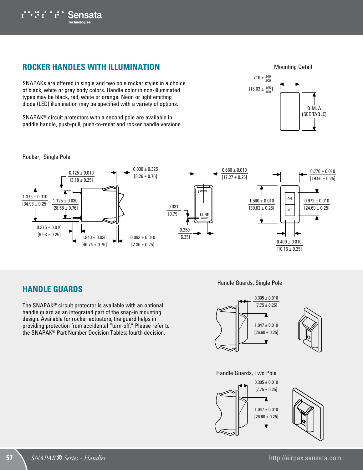

## **ROCKER HANDLES WITH ILLUMINATION**

SNAPAKs are offered in single and two pole rocker styles in a choice of black, white or gray body colors. Handle color in non-illuminated types may be black, red, white or orange. Neon or light emitting diode (LED) illumination may be specified with a variety of options.

SNAPAK® circuit protectors with a second pole are available in paddle handle, push-pull, push-to-reset and rocker handle versions.



#### Rocker, Single Pole



## **HANDLE GUARDS**

The SNAPAK® circuit protector is available with an optional handle guard as an integrated part of the snap-in mounting design. Available for rocker actuators, the guard helps in providing protection from accidental "turn-off." Please refer to the SNAPAK® Part Number Decision Tables; fourth decision.

#### Handle Guards, Single Pole





Handle Guards, Two Pole



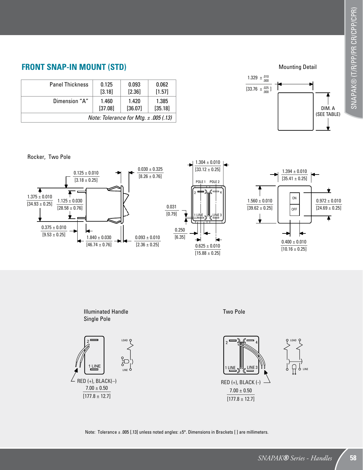## **FRONT SNAP-IN MOUNT (STD)**

| <b>Panel Thickness</b> | 0.125                                     | 0.093    | 0.062    |  |  |  |
|------------------------|-------------------------------------------|----------|----------|--|--|--|
|                        | [3.18]                                    | $[2.36]$ | $[1.57]$ |  |  |  |
| Dimension "A"          | 1.460                                     | 1.420    | 1.385    |  |  |  |
|                        | [37.08]                                   | [36.07]  | [35.18]  |  |  |  |
|                        | Note: Tolerance for Mtg. $\pm$ .005 (.13) |          |          |  |  |  |

Rocker, Two Pole





Note: Tolerance ± .005 [.13] unless noted angles: ±5°. Dimensions in Brackets [] are millimeters.

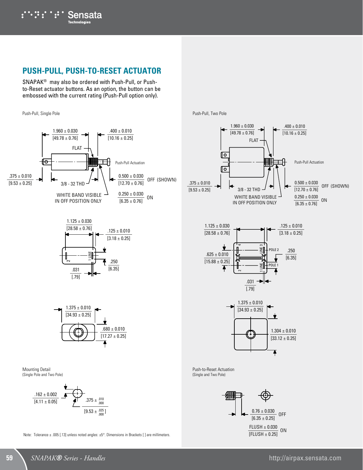## **PUSH-PULL, PUSH-TO-RESET ACTUATOR**

SNAPAK® may also be ordered with Push-Pull, or Pushto-Reset actuator buttons. As an option, the button can be embossed with the current rating (Push-Pull option only).

Push-Pull, Single Pole











Note: Tolerance ± .005 [.13] unless noted angles: ±5°. Dimensions in Brackets [] are millimeters.

Push-Pull, Two Pole







Push-to-Reset Actuation (Single and Two Pole)

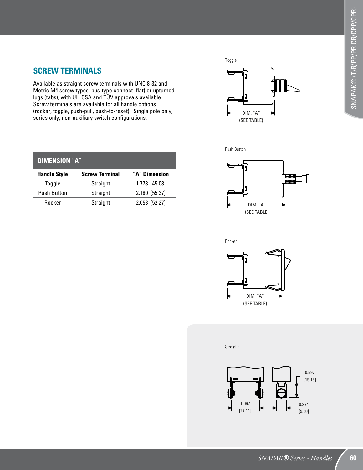## **SCREW TERMINALS**

Available as straight screw terminals with UNC 8-32 and Metric M4 screw types, bus-type connect (flat) or upturned lugs (tabs), with UL, CSA and TÜV approvals available. Screw terminals are available for all handle options (rocker, toggle, push-pull, push-to-reset). Single pole only, series only, non-auxiliary switch configurations.

| <b>DIMENSION "A"</b> |                       |               |  |  |  |  |  |  |
|----------------------|-----------------------|---------------|--|--|--|--|--|--|
| <b>Handle Style</b>  | <b>Screw Terminal</b> | "A" Dimension |  |  |  |  |  |  |
| Toggle               | Straight              | 1.773 [45.03] |  |  |  |  |  |  |
| <b>Push Button</b>   | Straight              | 2.180 [55.37] |  |  |  |  |  |  |
| Rocker               | Straight              | 2.058 [52.27] |  |  |  |  |  |  |



Push Button





Straight

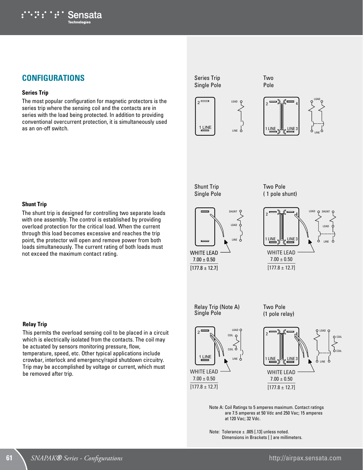

## **CONFIGURATIONS**

#### **Series Trip**

The most popular configuration for magnetic protectors is the series trip where the sensing coil and the contacts are in series with the load being protected. In addition to providing conventional overcurrent protection, it is simultaneously used as an on-off switch.









LINE

Shunt Trip Single Pole







**Shunt Trip**

with one assembly. The control is established by providing overload protection for the critical load. When the current through this load becomes excessive and reaches the trip point, the protector will open and remove power from both loads simultaneously. The current rating of both loads must not exceed the maximum contact rating.

#### **Relay Trip**

This permits the overload sensing coil to be placed in a circuit which is electrically isolated from the contacts. The coil may be actuated by sensors monitoring pressure, flow, temperature, speed, etc. Other typical applications include crowbar, interlock and emergency/rapid shutdown circuitry. Trip may be accomplished by voltage or current, which must be removed after trip.

Relay Trip (Note A) Single Pole







Note A: Coil Ratings to 5 amperes maximum. Contact ratings are 7.5 amperes at 50 Vdc and 250 Vac; 15 amperes at 120 Vac; 32 Vdc.

Note: Tolerance  $\pm$  .005 [.13] unless noted. Dimensions in Brackets [ ] are millimeters.

# The shunt trip is designed for controlling two separate loads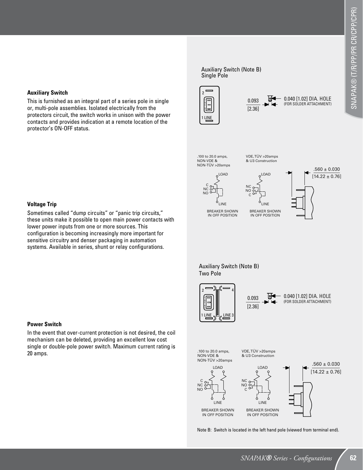## [14.22 ± 0.76] LOAD LOAD VDE, TÜV >20amps & U3 Construction

ঢ∔

LINE BREAKER SHOWN IN OFF POSITION

NC NO C

0.093 [2.36]

Auxiliary Switch (Note B)



0.040 [1.02] DIA. HOLE (FOR SOLDER ATTACHMENT)

Auxiliary Switch (Note B) Two Pole

LINE BREAKER SHOWN IN OFF POSITION

2

Single Pole

**LINE** N

 $\overline{\phantom{0}}$ 

.100 to 20.0 amps, NON-VDE & NON-TÜV >20amps

C<br>NC<br>NO





Note B: Switch is located in the left hand pole (viewed from terminal end).

#### **Auxiliary Switch**

This is furnished as an integral part of a series pole in single or, multi-pole assemblies. Isolated electrically from the protectors circuit, the switch works in unison with the power contacts and provides indication at a remote location of the protector's ON-OFF status.

#### **Voltage Trip**

Sometimes called "dump circuits" or "panic trip circuits," these units make it possible to open main power contacts with lower power inputs from one or more sources. This configuration is becoming increasingly more important for sensitive circuitry and denser packaging in automation systems. Available in series, shunt or relay configurations.

#### **Power Switch**

In the event that over-current protection is not desired, the coil mechanism can be deleted, providing an excellent low cost single or double-pole power switch. Maximum current rating is 20 amps.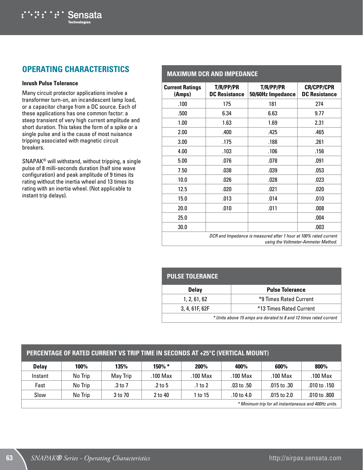## **OPERATING CHARACTERISTICS**

Sensata

#### **Inrush Pulse Tolerance**

Many circuit protector applications involve a transformer turn-on, an incandescent lamp load, or a capacitor charge from a DC source. Each of these applications has one common factor: a steep transient of very high current amplitude and short duration. This takes the form of a spike or a single pulse and is the cause of most nuisance tripping associated with magnetic circuit breakers.

SNAPAK® will withstand, without tripping, a single pulse of 8 milli-seconds duration (half sine wave configuration) and peak amplitude of 9 times its rating without the inertia wheel and 13 times its rating with an inertia wheel. (Not applicable to instant trip delays).

#### **MAXIMUM DCR AND IMPEDANCE Current Ratings (Amps) T/R/PP/PR DC Resistance T/R/PP/PR 50/60Hz Impedance CR/CPP/CPR DC Resistance** .100 175 181 274 .500 6.34 6.63 9.77

| 1.00                                                             | 1.63 | 1.69 | 2.31 |  |  |
|------------------------------------------------------------------|------|------|------|--|--|
| 2.00                                                             | .400 | .425 | .465 |  |  |
| 3.00                                                             | .175 | .188 | .261 |  |  |
| 4.00                                                             | .103 | .106 | .156 |  |  |
| 5.00                                                             | .076 | .078 | .091 |  |  |
| 7.50                                                             | .038 | .039 | .053 |  |  |
| 10.0                                                             | .026 | .028 | .023 |  |  |
| 12.5                                                             | .020 | .021 | .020 |  |  |
| 15.0                                                             | .013 | .014 | .010 |  |  |
| 20.0                                                             | .010 | .011 | .008 |  |  |
| 25.0                                                             |      |      | .004 |  |  |
| 30.0                                                             |      |      | .003 |  |  |
| DCR and Impedance is measured after 1 hour at 100% rated current |      |      |      |  |  |

*using the Voltmeter-Ammeter Method.*

| <b>PULSE TOLERANCE</b>                                            |                         |  |  |  |  |  |
|-------------------------------------------------------------------|-------------------------|--|--|--|--|--|
| <b>Delay</b>                                                      | <b>Pulse Tolerance</b>  |  |  |  |  |  |
| 1, 2, 61, 62                                                      | *9 Times Rated Current  |  |  |  |  |  |
| 3, 4, 61F, 62F                                                    | *13 Times Rated Current |  |  |  |  |  |
| * Units above 15 amps are derated to 8 and 12 times rated current |                         |  |  |  |  |  |

#### **PERCENTAGE OF RATED CURRENT VS TRIP TIME IN SECONDS AT +25°C (VERTICAL MOUNT)**

| <b>Delay</b>                                         | 100%    | 135%     | 150% *    | 200%     | 400%           | 600%          | 800%         |
|------------------------------------------------------|---------|----------|-----------|----------|----------------|---------------|--------------|
| Instant                                              | No Trip | May Trip | .100 Max  | .100 Max | .100 Max       | .100 Max      | .100 Max     |
| Fast                                                 | No Trip | .3 to 7  | $.2$ to 5 | .1 to 2  | $.03$ to $.50$ | .015 to .30   | .010 to .150 |
| Slow                                                 | No Trip | 3 to 70  | 2 to 40   | to 15    | .10 to $4.0$   | .015 to $2.0$ | .010 to .800 |
| * Minimum trin for all instantaneous and 400Hz units |         |          |           |          |                |               |              |

*\* Minimum trip for all instantaneous and 400Hz units.*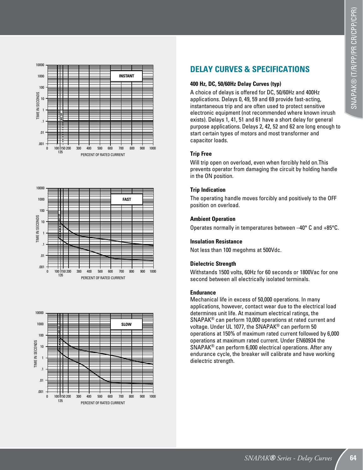





## **DELAY CURVES & SPECIFICATIONS**

#### **400 Hz, DC, 50/60Hz Delay Curves (typ)**

A choice of delays is offered for DC, 50/60Hz and 400Hz applications. Delays 0, 49, 59 and 69 provide fast-acting, instantaneous trip and are often used to protect sensitive electronic equipment (not recommended where known inrush exists). Delays 1, 41, 51 and 61 have a short delay for general purpose applications. Delays 2, 42, 52 and 62 are long enough to start certain types of motors and most transformer and capacitor loads.

#### **Trip Free**

Will trip open on overload, even when forcibly held on.This prevents operator from damaging the circuit by holding handle in the ON position.

#### **Trip Indication**

The operating handle moves forcibly and positively to the OFF position on overload.

#### **Ambient Operation**

Operates normally in temperatures between –40° C and +85°C.

#### **Insulation Resistance**

Not less than 100 megohms at 500Vdc.

#### **Dielectric Strength**

Withstands 1500 volts, 60Hz for 60 seconds or 1800Vac for one second between all electrically isolated terminals.

#### **Endurance**

Mechanical life in excess of 50,000 operations. In many applications, however, contact wear due to the electrical load determines unit life. At maximum electrical ratings, the SNAPAK® can perform 10,000 operations at rated current and voltage. Under UL 1077, the SNAPAK® can perform 50 operations at 150% of maximum rated current followed by 6,000 operations at maximum rated current. Under EN60934 the SNAPAK® can perform 6,000 electrical operations. After any endurance cycle, the breaker will calibrate and have working dielectric strength.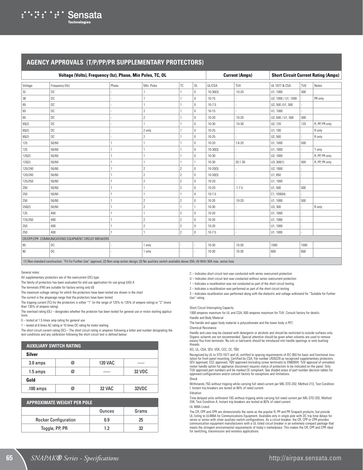#### **AGENCY APPROVALS (T/P/PP/PR SUPPLEMENTARY PROTECTORS)**

| Voltage (Volts), Frequency (hz), Phase, Min Poles, TC, OL |                                                      |       |                          |                          |              |               | <b>Current (Amps)</b> | <b>Short Circuit Current Rating (Amps)</b> |      |                |
|-----------------------------------------------------------|------------------------------------------------------|-------|--------------------------|--------------------------|--------------|---------------|-----------------------|--------------------------------------------|------|----------------|
| Voltage                                                   | Frequency (Hz)                                       | Phase | Min. Poles               | ТC                       | OL           | UL/CSA        | TUV                   | UL 1077 & CSA                              | TUV  | Notes          |
| 32                                                        | DC                                                   |       |                          |                          | $\mathbf 0$  | $.10 - 30(3)$ | $.10 - 20$            | U1, 1000                                   | 500  |                |
| 38                                                        | DC                                                   |       |                          |                          | $\mathbf 0$  | $.10 - 15$    |                       | U2, 1000 / U1, 1000                        |      | PR only        |
| 65                                                        | DC                                                   |       |                          |                          | 0            | $.10 - 7.5$   |                       | U2, 500 /U1, 500                           |      |                |
| 65                                                        | DC                                                   |       | $\overline{2}$           |                          | $\mathbf{0}$ | $.10 - 15$    |                       | U1, 1000                                   |      |                |
| 65                                                        | DC                                                   |       | $\mathcal{P}$            |                          | $\mathbf{0}$ | $.10 - 20$    | $.10 - 20$            | U2, 500 / U1, 500                          | 500  |                |
| 65(2)                                                     | DC                                                   |       |                          |                          | $\mathbf{0}$ | $.10 - 30$    | $.10 - 30$            | U2, 120                                    | 120  | R, PP, PR only |
| 65(2)                                                     | DC                                                   |       | 2 only                   |                          | $\mathbf 0$  | $.10 - 25$    |                       | U1, 100                                    |      | R only         |
| 65(2)                                                     | DC                                                   |       | $\overline{\phantom{a}}$ |                          | $\mathbf{0}$ | $.10 - 25$    |                       | U2, 500                                    |      | R only         |
| 125                                                       | 50/60                                                |       |                          |                          | 0            | $.10 - 20$    | $7.6 - 20$            | U1, 1000                                   | 500  |                |
| 125                                                       | 50/60                                                |       |                          |                          | $\Omega$     | $.10 - 30(3)$ |                       | U1, 1000                                   |      | T only         |
| 125(2)                                                    | 50/60                                                |       |                          |                          | 0            | $.10 - 30$    |                       | U2, 1000                                   |      | R, PP, PR only |
| 125(2)                                                    | 50/60                                                |       |                          |                          |              | $.10 - 30$    | $20.1 - 30$           | U3, 300(1)                                 | 500  | R, PP, PR only |
| 120/240                                                   | 50/60                                                |       | $\overline{c}$           | $\overline{\phantom{a}}$ | $\Omega$     | $.10 - 20(3)$ |                       | U2, 1000                                   |      |                |
| 120/240                                                   | 50/60                                                |       | $\mathcal{P}$            | $\overline{\phantom{a}}$ | $\Omega$     | $.10 - 30(3)$ |                       | U1,650                                     |      |                |
| 125/250                                                   | 50/60                                                |       | $\overline{c}$           | $\overline{\phantom{a}}$ | 0            | $.10 - 20$    |                       | U1, 1000                                   |      |                |
| 250                                                       | 50/60                                                |       |                          | $\mathcal{P}$            | $\mathbf{0}$ | $.10 - 20$    | $.1 - 7.5$            | U1,500                                     | 500  |                |
| 250                                                       | 50/60                                                |       |                          |                          | 0            | $.10 - 7.5$   |                       | C1, 1000(4)                                |      |                |
| 250                                                       | 50/60                                                |       | $\overline{2}$           | $\mathcal{P}$            | $\mathbf 0$  | $.10 - 20$    | $.10 - 20$            | U1, 1000                                   | 500  |                |
| 250(2)                                                    | 50/60                                                |       | $\overline{2}$           |                          |              | $.10 - 30$    |                       | U3, 300                                    |      | R only         |
| 125                                                       | 400                                                  |       |                          | $\mathcal{P}$            | 0            | $.10 - 20$    |                       | U1, 1000                                   |      |                |
| 125/250                                                   | 400                                                  |       | $\overline{2}$           | $\overline{c}$           | 0            | $.10 - 20$    |                       | U1, 1000                                   |      |                |
| 250                                                       | 400                                                  |       | $\overline{2}$           | $\overline{2}$           | $\mathbf{0}$ | $.10 - 20$    |                       | U1, 1000                                   |      |                |
| 250                                                       | 400                                                  |       |                          | $\overline{2}$           | $\mathbb O$  | $.10 - 7.5$   |                       | U1, 1000                                   |      |                |
|                                                           | CR/CPP/CPR COMMUNICATIONS EQUIPMENT CIRCUIT BREAKERS |       |                          |                          |              |               |                       |                                            |      |                |
| 65                                                        | DC                                                   |       | 1 only                   |                          |              | $.10 - 30$    | $.10 - 30$            | 1000                                       | 1000 |                |
| 80                                                        | DC                                                   |       | 1 only                   |                          |              | $.10 - 30$    | $.10 - 30$            | 600                                        | 600  |                |

(1) Non-standard construction. "Fit For Further Use" approval; (2) Non-snap action design; (3) No auxiliary switch available above 20A; (4) With 30A max. series fuse

General notes:

All supplementary protectors are of the overcurrent (OC) type

The family of protectors has been evaluated for end use application for use group (UG) A

The terminals (FW) are suitable for factory wiring only (0)

The maximum voltage ratings for which the protectors have been tested are shown in the chart

The current is the amperage range that the protectors have been tested

The tripping current (TC) for the protectors is either "1" (in the range of 125% to 135% of ampere rating) or "2" (more than 135% of ampere rating)

The overload rating (OL) – designates whether the protector has been tested for general use or motor starting applications.

0 – tested at 1.5 times amp rating for general use

1 – tested at 6 times AC rating or 10 times DC rating for motor starting

The short circuit current rating (SC) – The short circuit rating in amperes following a letter and number designating the test conditions and any calibration following the short circuit test is defined below:

| <b>AUXILIARY SWITCH RATING</b> |  |
|--------------------------------|--|
|                                |  |

| Silver    |   |                |        |  |  |  |  |  |
|-----------|---|----------------|--------|--|--|--|--|--|
| 3.0 amps  | @ | <b>120 VAC</b> |        |  |  |  |  |  |
| 1.5 amps  | @ |                | 32 VDC |  |  |  |  |  |
| Gold      |   |                |        |  |  |  |  |  |
| .100 amps | @ | 32 VAC         | 32VDC  |  |  |  |  |  |

| <b>APPROXIMATE WEIGHT PER POLE</b> |        |       |  |  |  |  |
|------------------------------------|--------|-------|--|--|--|--|
|                                    | Ounces | Grams |  |  |  |  |
| <b>Rocker Configuration</b>        | 0.9    | 25    |  |  |  |  |
| Toggle, PP, PR                     | 19     | ??    |  |  |  |  |

C – Indicates short circuit test was conducted with series overcurrent protection

U – Indicates short circuit test was conducted without series overcurrent protection

1 – Indicates a recalibration was not conducted as part of the short circuit testing

2 – Indicates a recalibration was performed as part of the short circuit testing

3 – Indicates recalibration was performed along with the dielectric and voltage withstand for "Suitable for Further Use" rating

#### Short Circuit Interrupting Capacity

1000 amperes maximum for UL and CSA, 500 amperes maximum for TUV. Consult factory for details.

Handle and Body Material

The handle and upper body material is polycarbonate and the lower body is PET.

#### Chemical Resistance

Handle and case may be cleaned with detergents or alcohols and should be restricted to outside surfaces only.<br>Organic solvents are not recommended. Special attention should be given when solvents are used to remove<br>excess threads.

#### IEC, UL, CSA, SEV, VDE, CCC, CE, TÜV

Recognized by UL to STD-1077 and UL certified to spacing requirements of IEC 950 for basic and functional insu<br>Iation for front panel mounting. Certified by CSA, file number LR26229 as recognized supplementary protectors,<br> rocker handle option for appliance disconnect requires status of protectors to be indicated on the panel. Only TUV approved part numbers will be marked CE compliant. See shaded areas of part number decision tables for approved configurations and/or consult factory for exceptions and limitations. Shock

Withstands 75G without tripping while carrying full rated current per MIL-STD-202, Method 213, Test Condition I. Instant trip breakers are tested at 80% of rated current. Vibration

Time delayed units withstand 10G without tripping while carrying full rated current per MIL-STD-202, Method 204, Test Condition A. Instant trip breakers are tested at 80% of rated current.

#### UL 489A Listed

The CR, CPP and CPR are dimensionally the same as the popular R, PP and PR Snapack products, but provide UL listing to UL489A for Communications Equipment. Available only in single pole with DC trip time delays for<br>series or series with silver auxiliary switch configurations. As a circuit breaker, the CR, CPP or CPR provides<br> meets the stringent environmental requirements of today's marketplace. This makes the CR, CPP and CPR ideal for switching, transmission and wireless applications.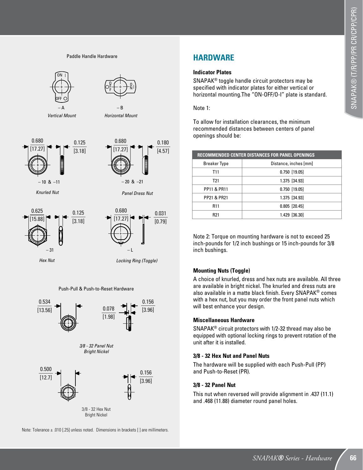#### Paddle Handle Hardware



#### Push-Pull & Push-to-Reset Hardware



Note: Tolerance ± .010 [.25] unless noted. Dimensions in brackets [ ] are millimeters.

### **HARDWARE**

#### **Indicator Plates**

SNAPAK® toggle handle circuit protectors may be specified with indicator plates for either vertical or horizontal mounting.The "ON-OFF/O-I" plate is standard.

Note 1:

To allow for installation clearances, the minimum recommended distances between centers of panel openings should be:

| <b>RECOMMENDED CENTER DISTANCES FOR PANEL OPENINGS</b> |  |  |  |  |  |  |
|--------------------------------------------------------|--|--|--|--|--|--|
| Distance, inches [mm]                                  |  |  |  |  |  |  |
| $0.750$ [19.05]                                        |  |  |  |  |  |  |
| 1.375 [34.93]                                          |  |  |  |  |  |  |
| $0.750$ [19.05]                                        |  |  |  |  |  |  |
| 1.375 [34.93]                                          |  |  |  |  |  |  |
| $0.805$ [20.45]                                        |  |  |  |  |  |  |
| 1.429 [36.30]                                          |  |  |  |  |  |  |
|                                                        |  |  |  |  |  |  |

Note 2: Torque on mounting hardware is not to exceed 25 inch-pounds for 1/2 inch bushings or 15 inch-pounds for 3/8 inch bushings.

#### **Mounting Nuts (Toggle)**

A choice of knurled, dress and hex nuts are available. All three are available in bright nickel. The knurled and dress nuts are also available in a matte black finish. Every SNAPAK® comes with a hex nut, but you may order the front panel nuts which will best enhance your design.

#### **Miscellaneous Hardware**

SNAPAK® circuit protectors with 1/2-32 thread may also be equipped with optional locking rings to prevent rotation of the unit after it is installed.

#### **3/8 - 32 Hex Nut and Panel Nuts**

The hardware will be supplied with each Push-Pull (PP) and Push-to-Reset (PR).

#### **3/8 - 32 Panel Nut**

This nut when reversed will provide alignment in .437 (11.1) and .468 (11.88) diameter round panel holes.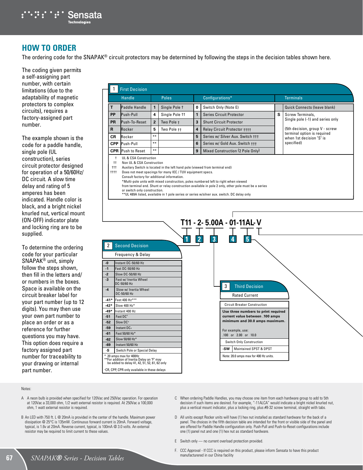

## **HOW TO ORDER**

The ordering code for the SNAPAK® circuit protectors may be determined by following the steps in the decision tables shown here.

The coding given permits a self-assigning part number, with certain limitations (due to the adaptability of magnetic protectors to complex circuits), requires a factory-assigned part number.

The example shown is the code for a paddle handle, single pole (UL construction), series circuit protector designed for operation of a 50/60Hz/ DC circuit. A slow time delay and rating of 5 amperes has been indicated. Handle color is black, and a bright nickel knurled nut, vertical mount (ON-OFF) indicator plate and locking ring are to be supplied.

To determine the ordering code for your particular SNAPAK® unit, simply follow the steps shown, then fill in the letters and/ or numbers in the boxes. Space is available on the circuit breaker label for your part number (up to 12 digits). You may then use your own part number to place an order or as a reference for further questions you may have. This option does require a factory assigned part number for traceability to your drawing or internal part number.

|                                                                                                                                                                                                                                                                                                                                                                           | Handle                   |                | <b>Poles</b>           |                         | Configurations*                                           |  | <b>Terminals</b>                                        |
|---------------------------------------------------------------------------------------------------------------------------------------------------------------------------------------------------------------------------------------------------------------------------------------------------------------------------------------------------------------------------|--------------------------|----------------|------------------------|-------------------------|-----------------------------------------------------------|--|---------------------------------------------------------|
| T.                                                                                                                                                                                                                                                                                                                                                                        | Paddle Handle            | 1              | Single Pole 1          | 0                       | Switch Only (Note E)                                      |  | Quick Connects (leave blank)                            |
| PP                                                                                                                                                                                                                                                                                                                                                                        | Push-Pull                | 4              | Single Pole 11         | 1                       | S.<br><b>Series Circuit Protector</b><br>Screw Terminals, |  |                                                         |
| <b>PR</b>                                                                                                                                                                                                                                                                                                                                                                 | Push-To-Reset            | $\overline{2}$ | Two Pole +             | 3                       | <b>Shunt Circuit Protector</b>                            |  | Single pole (-1) and series only                        |
| R.                                                                                                                                                                                                                                                                                                                                                                        | Rocker                   | 5              | Two Pole <sub>††</sub> | $\overline{\mathbf{4}}$ | <b>Relay Circuit Protector ++++</b>                       |  | (5th decision, group V - screw                          |
| <b>CR</b>                                                                                                                                                                                                                                                                                                                                                                 | Rocker                   | $***$          |                        | 5                       | Series w/ Silver Aux. Switch +++                          |  | terminal option is required<br>when 1st decision "S" is |
| <b>CPP</b>                                                                                                                                                                                                                                                                                                                                                                | Push-Pull                | $***$          |                        | 6                       | Series w/ Gold Aux. Switch +++                            |  | specified)                                              |
|                                                                                                                                                                                                                                                                                                                                                                           | <b>CPR</b> Push to Reset | $***$          |                        | 9                       | Mixed Construction (2 Pole Only)                          |  |                                                         |
| Consult factory for additional information.<br>*Multi-pole units with mixed construction, poles numbered left to right when viewed<br>from terminal end. Shunt or relay construction available in pole 2 only, other pole must be a series<br>or switch only construction.<br>** UL 489A listed, available in 1 pole series or series w/silver aux. switch. DC delay only |                          |                |                        |                         |                                                           |  |                                                         |

|       |                                                                                                                      |                                  | III * 4* 3.00A * 01* IIAL* V          |
|-------|----------------------------------------------------------------------------------------------------------------------|----------------------------------|---------------------------------------|
|       |                                                                                                                      |                                  |                                       |
|       |                                                                                                                      | $\overline{3}$<br>$\overline{2}$ | 5<br>4                                |
| 2     | <b>Second Decision</b>                                                                                               |                                  |                                       |
|       |                                                                                                                      |                                  |                                       |
|       | Frequency & Delay                                                                                                    |                                  |                                       |
| $-0$  | Instant DC-50/60 Hz                                                                                                  |                                  |                                       |
| $-1$  | Fast DC-50/60 Hz                                                                                                     |                                  |                                       |
| $-2$  | Slow DC-50/60 Hz                                                                                                     |                                  |                                       |
| $-3$  | Fast w/ Inertia Wheel<br>DC-50/60 Hz                                                                                 |                                  |                                       |
| $-4$  | Slow w/ Inertia Wheel                                                                                                |                                  | 3<br><b>Third Decision</b>            |
|       | DC-50/60 Hz                                                                                                          |                                  | <b>Rated Current</b>                  |
|       | -41* Fast 400 Hz***                                                                                                  |                                  |                                       |
| -42*  | Slow 400 Hz*                                                                                                         |                                  | <b>Circuit Breaker Construction</b>   |
| -49*  | Instant 400 Hz                                                                                                       |                                  | Use three numbers to print required   |
| $-51$ | Fast DC <sup>+</sup>                                                                                                 |                                  | current value between .100 amps       |
| $-52$ | Slow DC+                                                                                                             |                                  | minimum and 30.0 amps maximum.        |
| $-59$ | Instant DC+                                                                                                          |                                  | For example, use:                     |
| $-61$ | Fast 50/60 Hz*                                                                                                       |                                  | .100 or 2.00 or 10.0                  |
| $-62$ | Slow 50/60 Hz*                                                                                                       |                                  | Switch Only Construction              |
| $-69$ | Instant 50/60 Hz                                                                                                     |                                  |                                       |
| ۰S    | Switch Pole or Special Delay                                                                                         |                                  | Maintained SPST & DPST<br>-SW         |
| ¥     | 20 amps max for 400Hz<br>**For addition of Inertia Delay an "F" may<br>be added to delay 41, 42, 51, 52, 61, 62 only |                                  | Note: 20.0 amps max for 400 Hz units. |
|       | *CR, CPP, CPR only available in these delays                                                                         |                                  |                                       |

#### Notes:

- A A neon bulb is provided when specified for 120Vac and 250Vac operation. For operation at 120Vac a 33,000 ohm, 1/2 watt external resistor is required. At 250Vac a 100,000 ohm, 1 watt external resistor is required.
- B An LED with 750 ft. L @ 20mA is provided in the center of the handle. Maximum power dissipation @ 25°C is 135mW. Continuous forward current is 20mA. Forward voltage, typical, is 1.6v at 20mA. Reverse current, typical, is 100mA @ 3.0 volts. An external resistor may be required to limit current to these values.
- C When ordering Paddle Handles, you may choose one item from each hardware group to add to 5th decision if such items are desired. For example, "-11ALCA" would indicate a bright nickel knurled nut, plus a vertical mount indicator, plus a locking ring, plus #8-32 screw terminal, straight with tabs.
- D All units except Rocker units will have (1) hex nut installed as standard hardware for the back of a panel. The choices in the fifth decision table are intended for the front or visible side of the panel and are offered for Paddle Handle configuration only. Push-Pull and Push-to-Reset configurations include one (1) panel nut and one (1) hex nut as standard hardware.
- E Switch only no current overload protection provided.
- F. CCC Approval If CCC is required on this product, please inform Sensata to have this product